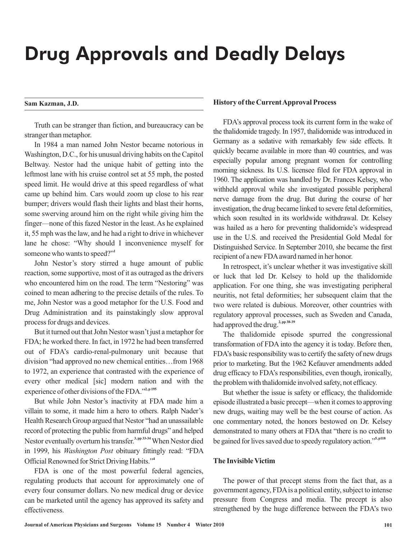# Drug Approvals and Deadly Delays

#### **Sam Kazman, J.D.**

Truth can be stranger than fiction, and bureaucracy can be stranger than metaphor.

In 1984 a man named John Nestor became notorious in Washington, D.C., for his unusual driving habits on the Capitol Beltway. Nestor had the unique habit of getting into the leftmost lane with his cruise control set at 55 mph, the posted speed limit. He would drive at this speed regardless of what came up behind him. Cars would zoom up close to his rear bumper; drivers would flash their lights and blast their horns, some swerving around him on the right while giving him the finger—none of this fazed Nestor in the least. As he explained it, 55 mph was the law, and he had a right to drive in whichever lane he chose: "Why should I inconvenience myself for someone who wants to speed?" **1**

John Nestor's story stirred a huge amount of public reaction, some supportive, most of it as outraged as the drivers who encountered him on the road. The term "Nestoring" was coined to mean adhering to the precise details of the rules. To me, John Nestor was a good metaphor for the U.S. Food and Drug Administration and its painstakingly slow approval process for drugs and devices.

But it turned out that John Nestor wasn't just a metaphor for FDA; he worked there. In fact, in 1972 he had been transferred out of FDA's cardio-renal-pulmonary unit because that division "had approved no new chemical entities…from 1968 to 1972, an experience that contrasted with the experience of every other medical [sic] modern nation and with the experience of other divisions of the FDA."<sup>2, p 195</sup>

But while John Nestor's inactivity at FDA made him a villain to some, it made him a hero to others. Ralph Nader's Health Research Group argued that Nestor "had an unassailable record of protecting the public from harmful drugs" and helped Nestor eventually overturn his transfer.<sup>3, pp 33-34</sup> When Nestor died in 1999, his Washington Post obituary fittingly read: "FDA Official Renowned for Strict Driving Habits." **4**

FDA is one of the most powerful federal agencies, regulating products that account for approximately one of every four consumer dollars. No new medical drug or device can be marketed until the agency has approved its safety and effectiveness.

### **History of the CurrentApproval Process**

FDA's approval process took its current form in the wake of the thalidomide tragedy. In 1957, thalidomide was introduced in Germany as a sedative with remarkably few side effects. It quickly became available in more than 40 countries, and was especially popular among pregnant women for controlling morning sickness. Its U.S. licensee filed for FDA approval in 1960. The application was handled by Dr. Frances Kelsey, who withheld approval while she investigated possible peripheral nerve damage from the drug. But during the course of her investigation, the drug became linked to severe fetal deformities, which soon resulted in its worldwide withdrawal. Dr. Kelsey was hailed as a hero for preventing thalidomide's widespread use in the U.S. and received the Presidential Gold Medal for Distinguished Service. In September 2010, she became the first recipient of a new FDAaward named in her honor.

In retrospect, it's unclear whether it was investigative skill or luck that led Dr. Kelsey to hold up the thalidomide application. For one thing, she was investigating peripheral neuritis, not fetal deformities; her subsequent claim that the two were related is dubious. Moreover, other countries with regulatory approval processes, such as Sweden and Canada, had approved the drug. **2, pp 38-39**

The thalidomide episode spurred the congressional transformation of FDA into the agency it is today. Before then, FDA's basic responsibility was to certify the safety of new drugs prior to marketing. But the 1962 Kefauver amendments added drug efficacy to FDA's responsibilities, even though, ironically, the problem with thalidomide involved safety, not efficacy.

But whether the issue is safety or efficacy, the thalidomide episode illustrated a basic precept—when it comes to approving new drugs, waiting may well be the best course of action. As one commentary noted, the honors bestowed on Dr. Kelsey demonstrated to many others at FDA that "there is no credit to be gained for lives saved due to speedy regulatory action."<sup>5,p118</sup>

## **The Invisible Victim**

The power of that precept stems from the fact that, as a government agency, FDAis a political entity, subject to intense pressure from Congress and media. The precept is also strengthened by the huge difference between the FDA's two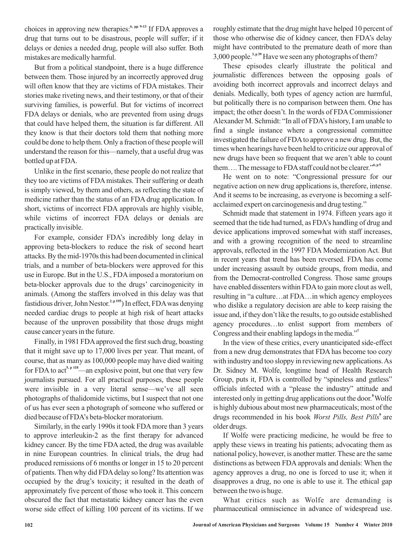choices in approving new therapies:<sup>6, pp 9-13</sup> If FDA approves a drug that turns out to be disastrous, people will suffer; if it delays or denies a needed drug, people will also suffer. Both mistakes are medically harmful.

But from a political standpoint, there is a huge difference between them. Those injured by an incorrectly approved drug will often know that they are victims of FDA mistakes. Their stories make riveting news, and their testimony, or that of their surviving families, is powerful. But for victims of incorrect FDA delays or denials, who are prevented from using drugs that could have helped them, the situation is far different. All they know is that their doctors told them that nothing more could be done to help them. Only a fraction of these people will understand the reason for this—namely, that a useful drug was bottled up at FDA.

Unlike in the first scenario, these people do not realize that they too are victims of FDA mistakes. Their suffering or death is simply viewed, by them and others, as reflecting the state of medicine rather than the status of an FDA drug application. In short, victims of incorrect FDA approvals are highly visible, while victims of incorrect FDA delays or denials are practically invisible.

For example, consider FDA's incredibly long delay in approving beta-blockers to reduce the risk of second heart attacks. By the mid-1970s this had been documented in clinical trials, and a number of beta-blockers were approved for this use in Europe. But in the U.S., FDA imposed a moratorium on beta-blocker approvals due to the drugs' carcinogenicity in animals. (Among the staffers involved in this delay was that fastidious driver, John Nestor.<sup>2, p 195</sup>) In effect, FDA was denying needed cardiac drugs to people at high risk of heart attacks because of the unproven possibility that those drugs might cause cancer years in the future.

Finally, in 1981 FDAapproved the first such drug, boasting that it might save up to 17,000 lives per year. That meant, of course, that as many as 100,000 people may have died waiting for FDA to  $\text{act}^{5, \text{p 118}}$ —an explosive point, but one that very few journalists pursued. For all practical purposes, these people were invisible in a very literal sense—we've all seen photographs of thalidomide victims, but I suspect that not one of us has ever seen a photograph of someone who suffered or died because of FDA's beta-blocker moratorium.

Similarly, in the early 1990s it took FDA more than 3 years to approve interleukin-2 as the first therapy for advanced kidney cancer. By the time FDA acted, the drug was available in nine European countries. In clinical trials, the drug had produced remissions of 6 months or longer in 15 to 20 percent of patients. Then why did FDAdelay so long? Its attention was occupied by the drug's toxicity; it resulted in the death of approximately five percent of those who took it. This concern obscured the fact that metastatic kidney cancer has the even worse side effect of killing 100 percent of its victims. If we roughly estimate that the drug might have helped 10 percent of those who otherwise die of kidney cancer, then FDA's delay might have contributed to the premature death of more than 3,000 people.<sup>3, p 39</sup> Have we seen any photographs of them?

These episodes clearly illustrate the political and journalistic differences between the opposing goals of avoiding both incorrect approvals and incorrect delays and denials. Medically, both types of agency action are harmful, but politically there is no comparison between them. One has impact; the other doesn't. In the words of FDA Commissioner Alexander M. Schmidt: "In all of FDA's history, I am unable to find a single instance where a congressional committee investigated the failure of FDAto approve a new drug. But, the times when hearings have been held to criticize our approval of new drugs have been so frequent that we aren't able to count them.... The message to FDA staff could not be clearer."<sup>6,p5</sup>

He went on to note: "Congressional pressure for our negative action on new drug applications is, therefore, intense. And it seems to be increasing, as everyone is becoming a selfacclaimed expert on carcinogenesis and drug testing."

Schmidt made that statement in 1974. Fifteen years ago it seemed that the tide had turned, as FDA's handling of drug and device applications improved somewhat with staff increases, and with a growing recognition of the need to streamline approvals, reflected in the 1997 FDA Modernization Act. But in recent years that trend has been reversed. FDA has come under increasing assault by outside groups, from media, and from the Democrat-controlled Congress. Those same groups have enabled dissenters within FDA to gain more clout as well, resulting in "a culture…at FDA…in which agency employees who dislike a regulatory decision are able to keep raising the issue and, if they don't like the results, to go outside established agency procedures…to enlist support from members of Congress and their enabling lapdogs in the media." **7**

In the view of these critics, every unanticipated side-effect from a new drug demonstrates that FDA has become too cozy with industry and too sloppy in reviewing new applications.As Dr. Sidney M. Wolfe, longtime head of Health Research Group, puts it, FDA is controlled by "spineless and gutless" officials infected with a "please the industry" attitude and interested only in getting drug applications out the door.<sup>8</sup> Wolfe is highly dubious about most new pharmaceuticals; most of the drugs recommended in his book Worst Pills, Best Pills<sup>9</sup> are older drugs.

If Wolfe were practicing medicine, he would be free to apply these views in treating his patients; advocating them as national policy, however, is another matter. These are the same distinctions as between FDA approvals and denials: When the agency approves a drug, no one is forced to use it; when it disapproves a drug, no one is able to use it. The ethical gap between the two is huge.

What critics such as Wolfe are demanding is pharmaceutical omniscience in advance of widespread use.